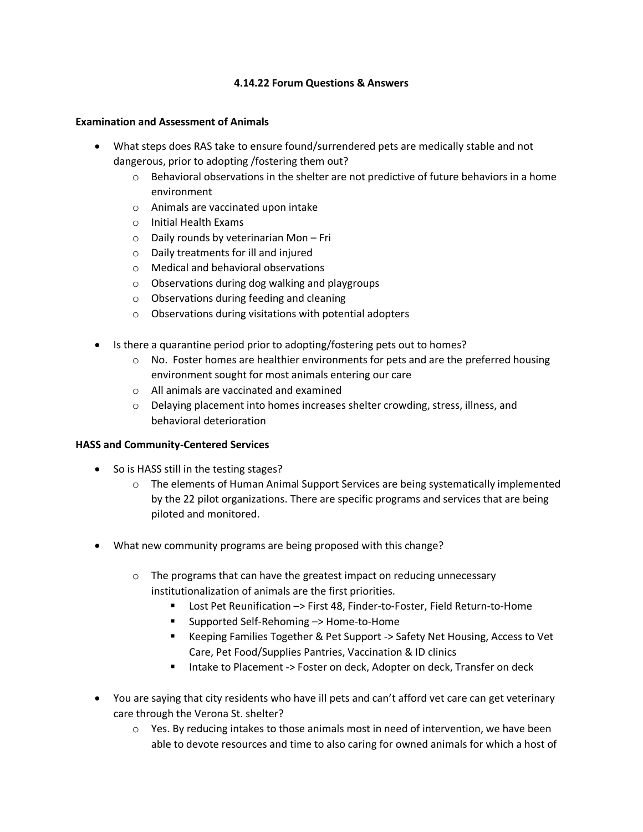### **4.14.22 Forum Questions & Answers**

#### **Examination and Assessment of Animals**

- What steps does RAS take to ensure found/surrendered pets are medically stable and not dangerous, prior to adopting /fostering them out?
	- $\circ$  Behavioral observations in the shelter are not predictive of future behaviors in a home environment
	- o Animals are vaccinated upon intake
	- o Initial Health Exams
	- o Daily rounds by veterinarian Mon Fri
	- o Daily treatments for ill and injured
	- o Medical and behavioral observations
	- o Observations during dog walking and playgroups
	- o Observations during feeding and cleaning
	- o Observations during visitations with potential adopters
- Is there a quarantine period prior to adopting/fostering pets out to homes?
	- $\circ$  No. Foster homes are healthier environments for pets and are the preferred housing environment sought for most animals entering our care
	- o All animals are vaccinated and examined
	- $\circ$  Delaying placement into homes increases shelter crowding, stress, illness, and behavioral deterioration

### **HASS and Community-Centered Services**

- So is HASS still in the testing stages?
	- o The elements of Human Animal Support Services are being systematically implemented by the 22 pilot organizations. There are specific programs and services that are being piloted and monitored.
- What new community programs are being proposed with this change?
	- $\circ$  The programs that can have the greatest impact on reducing unnecessary institutionalization of animals are the first priorities.
		- Lost Pet Reunification -> First 48, Finder-to-Foster, Field Return-to-Home
		- Supported Self-Rehoming –> Home-to-Home
		- Keeping Families Together & Pet Support -> Safety Net Housing, Access to Vet Care, Pet Food/Supplies Pantries, Vaccination & ID clinics
		- Intake to Placement -> Foster on deck, Adopter on deck, Transfer on deck
- You are saying that city residents who have ill pets and can't afford vet care can get veterinary care through the Verona St. shelter?
	- $\circ$  Yes. By reducing intakes to those animals most in need of intervention, we have been able to devote resources and time to also caring for owned animals for which a host of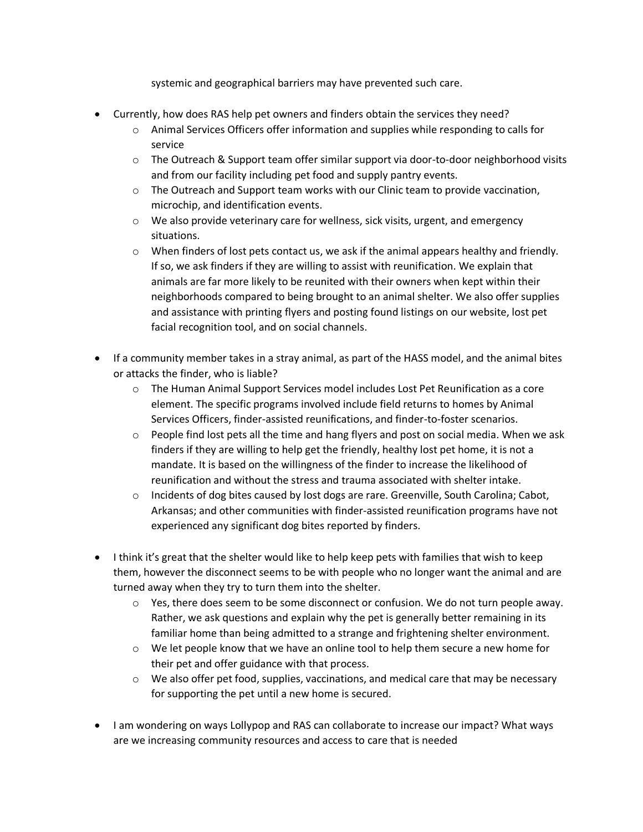systemic and geographical barriers may have prevented such care.

- Currently, how does RAS help pet owners and finders obtain the services they need?
	- o Animal Services Officers offer information and supplies while responding to calls for service
	- $\circ$  The Outreach & Support team offer similar support via door-to-door neighborhood visits and from our facility including pet food and supply pantry events.
	- $\circ$  The Outreach and Support team works with our Clinic team to provide vaccination, microchip, and identification events.
	- $\circ$  We also provide veterinary care for wellness, sick visits, urgent, and emergency situations.
	- $\circ$  When finders of lost pets contact us, we ask if the animal appears healthy and friendly. If so, we ask finders if they are willing to assist with reunification. We explain that animals are far more likely to be reunited with their owners when kept within their neighborhoods compared to being brought to an animal shelter. We also offer supplies and assistance with printing flyers and posting found listings on our website, lost pet facial recognition tool, and on social channels.
- If a community member takes in a stray animal, as part of the HASS model, and the animal bites or attacks the finder, who is liable?
	- o The Human Animal Support Services model includes Lost Pet Reunification as a core element. The specific programs involved include field returns to homes by Animal Services Officers, finder-assisted reunifications, and finder-to-foster scenarios.
	- $\circ$  People find lost pets all the time and hang flyers and post on social media. When we ask finders if they are willing to help get the friendly, healthy lost pet home, it is not a mandate. It is based on the willingness of the finder to increase the likelihood of reunification and without the stress and trauma associated with shelter intake.
	- $\circ$  Incidents of dog bites caused by lost dogs are rare. Greenville, South Carolina; Cabot, Arkansas; and other communities with finder-assisted reunification programs have not experienced any significant dog bites reported by finders.
- $\bullet$  I think it's great that the shelter would like to help keep pets with families that wish to keep them, however the disconnect seems to be with people who no longer want the animal and are turned away when they try to turn them into the shelter.
	- $\circ$  Yes, there does seem to be some disconnect or confusion. We do not turn people away. Rather, we ask questions and explain why the pet is generally better remaining in its familiar home than being admitted to a strange and frightening shelter environment.
	- $\circ$  We let people know that we have an online tool to help them secure a new home for their pet and offer guidance with that process.
	- $\circ$  We also offer pet food, supplies, vaccinations, and medical care that may be necessary for supporting the pet until a new home is secured.
- I am wondering on ways Lollypop and RAS can collaborate to increase our impact? What ways are we increasing community resources and access to care that is needed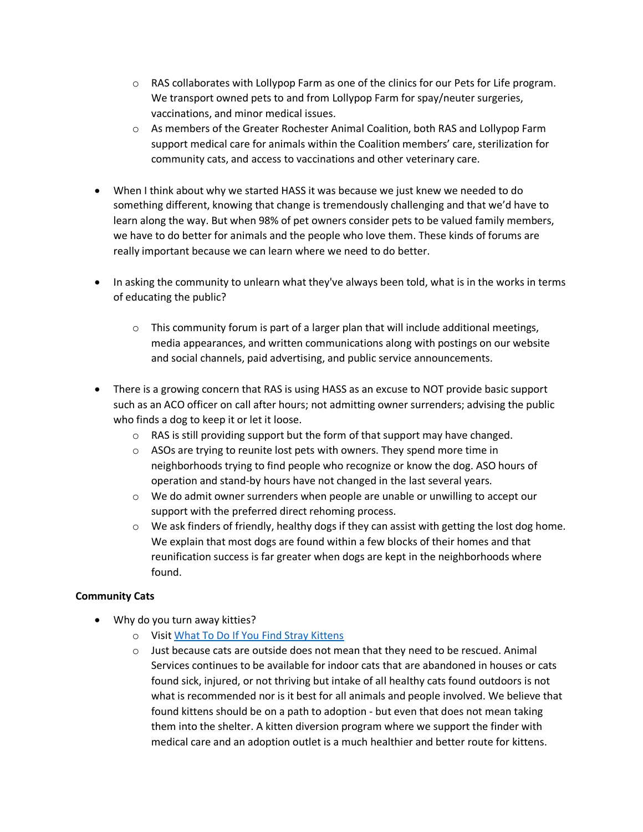- $\circ$  RAS collaborates with Lollypop Farm as one of the clinics for our Pets for Life program. We transport owned pets to and from Lollypop Farm for spay/neuter surgeries, vaccinations, and minor medical issues.
- o As members of the Greater Rochester Animal Coalition, both RAS and Lollypop Farm support medical care for animals within the Coalition members' care, sterilization for community cats, and access to vaccinations and other veterinary care.
- When I think about why we started HASS it was because we just knew we needed to do something different, knowing that change is tremendously challenging and that we'd have to learn along the way. But when 98% of pet owners consider pets to be valued family members, we have to do better for animals and the people who love them. These kinds of forums are really important because we can learn where we need to do better.
- In asking the community to unlearn what they've always been told, what is in the works in terms of educating the public?
	- $\circ$  This community forum is part of a larger plan that will include additional meetings, media appearances, and written communications along with postings on our website and social channels, paid advertising, and public service announcements.
- There is a growing concern that RAS is using HASS as an excuse to NOT provide basic support such as an ACO officer on call after hours; not admitting owner surrenders; advising the public who finds a dog to keep it or let it loose.
	- $\circ$  RAS is still providing support but the form of that support may have changed.
	- o ASOs are trying to reunite lost pets with owners. They spend more time in neighborhoods trying to find people who recognize or know the dog. ASO hours of operation and stand-by hours have not changed in the last several years.
	- $\circ$  We do admit owner surrenders when people are unable or unwilling to accept our support with the preferred direct rehoming process.
	- $\circ$  We ask finders of friendly, healthy dogs if they can assist with getting the lost dog home. We explain that most dogs are found within a few blocks of their homes and that reunification success is far greater when dogs are kept in the neighborhoods where found.

## **Community Cats**

- Why do you turn away kitties?
	- o Visit [What To Do If You Find Stray Kittens](https://www.cityofrochester.gov/article.aspx?id=8589969445)
	- $\circ$  Just because cats are outside does not mean that they need to be rescued. Animal Services continues to be available for indoor cats that are abandoned in houses or cats found sick, injured, or not thriving but intake of all healthy cats found outdoors is not what is recommended nor is it best for all animals and people involved. We believe that found kittens should be on a path to adoption - but even that does not mean taking them into the shelter. A kitten diversion program where we support the finder with medical care and an adoption outlet is a much healthier and better route for kittens.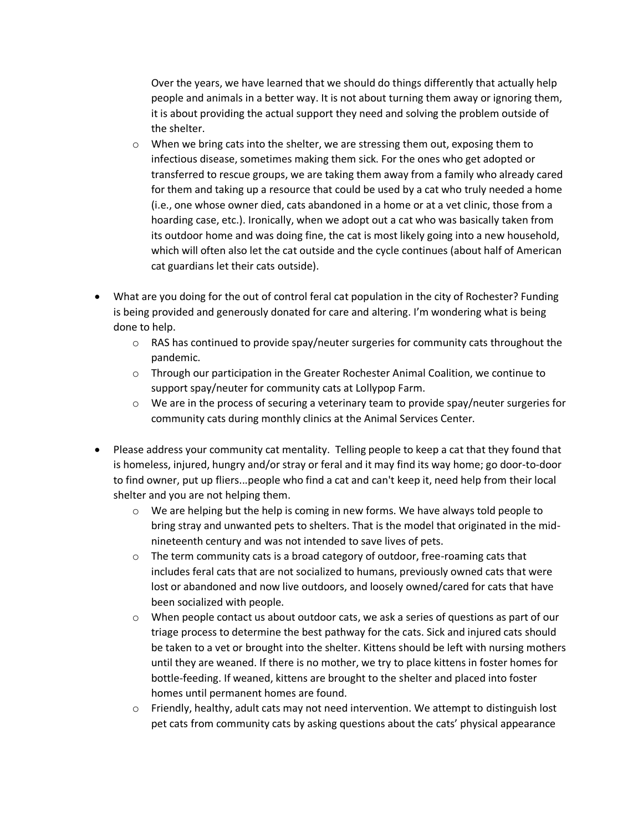Over the years, we have learned that we should do things differently that actually help people and animals in a better way. It is not about turning them away or ignoring them, it is about providing the actual support they need and solving the problem outside of the shelter.

- $\circ$  When we bring cats into the shelter, we are stressing them out, exposing them to infectious disease, sometimes making them sick. For the ones who get adopted or transferred to rescue groups, we are taking them away from a family who already cared for them and taking up a resource that could be used by a cat who truly needed a home (i.e., one whose owner died, cats abandoned in a home or at a vet clinic, those from a hoarding case, etc.). Ironically, when we adopt out a cat who was basically taken from its outdoor home and was doing fine, the cat is most likely going into a new household, which will often also let the cat outside and the cycle continues (about half of American cat guardians let their cats outside).
- What are you doing for the out of control feral cat population in the city of Rochester? Funding is being provided and generously donated for care and altering. I'm wondering what is being done to help.
	- $\circ$  RAS has continued to provide spay/neuter surgeries for community cats throughout the pandemic.
	- $\circ$  Through our participation in the Greater Rochester Animal Coalition, we continue to support spay/neuter for community cats at Lollypop Farm.
	- o We are in the process of securing a veterinary team to provide spay/neuter surgeries for community cats during monthly clinics at the Animal Services Center.
- Please address your community cat mentality. Telling people to keep a cat that they found that is homeless, injured, hungry and/or stray or feral and it may find its way home; go door-to-door to find owner, put up fliers...people who find a cat and can't keep it, need help from their local shelter and you are not helping them.
	- $\circ$  We are helping but the help is coming in new forms. We have always told people to bring stray and unwanted pets to shelters. That is the model that originated in the midnineteenth century and was not intended to save lives of pets.
	- $\circ$  The term community cats is a broad category of outdoor, free-roaming cats that includes feral cats that are not socialized to humans, previously owned cats that were lost or abandoned and now live outdoors, and loosely owned/cared for cats that have been socialized with people.
	- o When people contact us about outdoor cats, we ask a series of questions as part of our triage process to determine the best pathway for the cats. Sick and injured cats should be taken to a vet or brought into the shelter. Kittens should be left with nursing mothers until they are weaned. If there is no mother, we try to place kittens in foster homes for bottle-feeding. If weaned, kittens are brought to the shelter and placed into foster homes until permanent homes are found.
	- o Friendly, healthy, adult cats may not need intervention. We attempt to distinguish lost pet cats from community cats by asking questions about the cats' physical appearance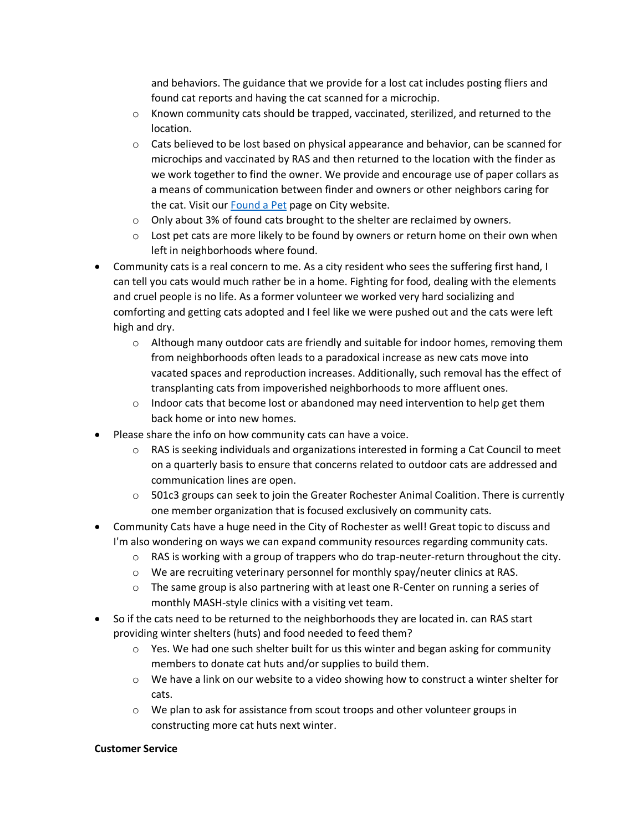and behaviors. The guidance that we provide for a lost cat includes posting fliers and found cat reports and having the cat scanned for a microchip.

- $\circ$  Known community cats should be trapped, vaccinated, sterilized, and returned to the location.
- $\circ$  Cats believed to be lost based on physical appearance and behavior, can be scanned for microchips and vaccinated by RAS and then returned to the location with the finder as we work together to find the owner. We provide and encourage use of paper collars as a means of communication between finder and owners or other neighbors caring for the cat. Visit our [Found a Pet](https://www.cityofrochester.gov/FoundAPet/) page on City website.
- $\circ$  Only about 3% of found cats brought to the shelter are reclaimed by owners.
- $\circ$  Lost pet cats are more likely to be found by owners or return home on their own when left in neighborhoods where found.
- Community cats is a real concern to me. As a city resident who sees the suffering first hand, I can tell you cats would much rather be in a home. Fighting for food, dealing with the elements and cruel people is no life. As a former volunteer we worked very hard socializing and comforting and getting cats adopted and I feel like we were pushed out and the cats were left high and dry.
	- $\circ$  Although many outdoor cats are friendly and suitable for indoor homes, removing them from neighborhoods often leads to a paradoxical increase as new cats move into vacated spaces and reproduction increases. Additionally, such removal has the effect of transplanting cats from impoverished neighborhoods to more affluent ones.
	- $\circ$  Indoor cats that become lost or abandoned may need intervention to help get them back home or into new homes.
- Please share the info on how community cats can have a voice.
	- o RAS is seeking individuals and organizations interested in forming a Cat Council to meet on a quarterly basis to ensure that concerns related to outdoor cats are addressed and communication lines are open.
	- $\circ$  501c3 groups can seek to join the Greater Rochester Animal Coalition. There is currently one member organization that is focused exclusively on community cats.
- Community Cats have a huge need in the City of Rochester as well! Great topic to discuss and I'm also wondering on ways we can expand community resources regarding community cats.
	- $\circ$  RAS is working with a group of trappers who do trap-neuter-return throughout the city.
	- o We are recruiting veterinary personnel for monthly spay/neuter clinics at RAS.
	- $\circ$  The same group is also partnering with at least one R-Center on running a series of monthly MASH-style clinics with a visiting vet team.
- So if the cats need to be returned to the neighborhoods they are located in. can RAS start providing winter shelters (huts) and food needed to feed them?
	- $\circ$  Yes. We had one such shelter built for us this winter and began asking for community members to donate cat huts and/or supplies to build them.
	- $\circ$  We have a link on our website to a video showing how to construct a winter shelter for cats.
	- o We plan to ask for assistance from scout troops and other volunteer groups in constructing more cat huts next winter.

### **Customer Service**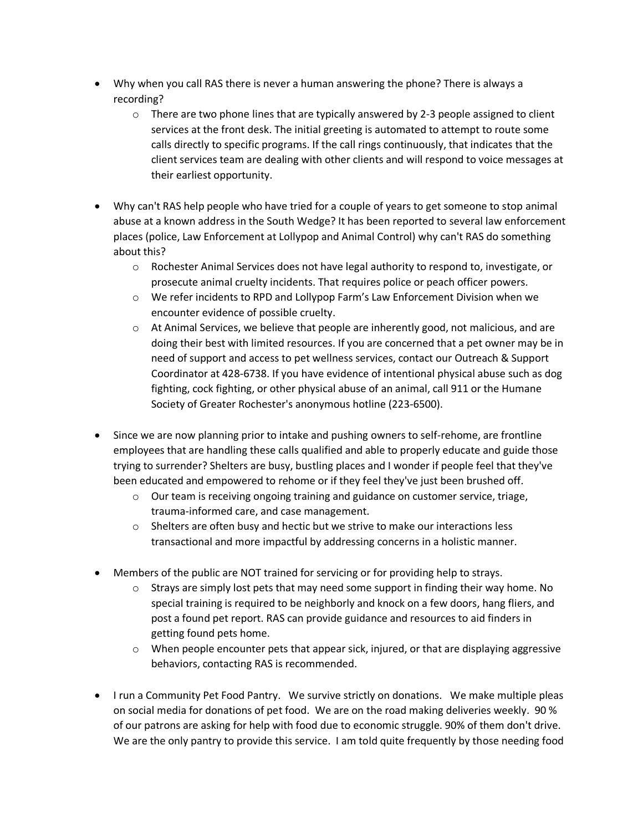- Why when you call RAS there is never a human answering the phone? There is always a recording?
	- $\circ$  There are two phone lines that are typically answered by 2-3 people assigned to client services at the front desk. The initial greeting is automated to attempt to route some calls directly to specific programs. If the call rings continuously, that indicates that the client services team are dealing with other clients and will respond to voice messages at their earliest opportunity.
- Why can't RAS help people who have tried for a couple of years to get someone to stop animal abuse at a known address in the South Wedge? It has been reported to several law enforcement places (police, Law Enforcement at Lollypop and Animal Control) why can't RAS do something about this?
	- o Rochester Animal Services does not have legal authority to respond to, investigate, or prosecute animal cruelty incidents. That requires police or peach officer powers.
	- o We refer incidents to RPD and Lollypop Farm's Law Enforcement Division when we encounter evidence of possible cruelty.
	- o At Animal Services, we believe that people are inherently good, not malicious, and are doing their best with limited resources. If you are concerned that a pet owner may be in need of support and access to pet wellness services, contact our Outreach & Support Coordinator at 428-6738. If you have evidence of intentional physical abuse such as dog fighting, cock fighting, or other physical abuse of an animal, call 911 or the Humane Society of Greater Rochester's anonymous hotline (223-6500).
- Since we are now planning prior to intake and pushing owners to self-rehome, are frontline employees that are handling these calls qualified and able to properly educate and guide those trying to surrender? Shelters are busy, bustling places and I wonder if people feel that they've been educated and empowered to rehome or if they feel they've just been brushed off.
	- $\circ$  Our team is receiving ongoing training and guidance on customer service, triage, trauma-informed care, and case management.
	- $\circ$  Shelters are often busy and hectic but we strive to make our interactions less transactional and more impactful by addressing concerns in a holistic manner.
- Members of the public are NOT trained for servicing or for providing help to strays.
	- $\circ$  Strays are simply lost pets that may need some support in finding their way home. No special training is required to be neighborly and knock on a few doors, hang fliers, and post a found pet report. RAS can provide guidance and resources to aid finders in getting found pets home.
	- $\circ$  When people encounter pets that appear sick, injured, or that are displaying aggressive behaviors, contacting RAS is recommended.
- I run a Community Pet Food Pantry. We survive strictly on donations. We make multiple pleas on social media for donations of pet food. We are on the road making deliveries weekly. 90 % of our patrons are asking for help with food due to economic struggle. 90% of them don't drive. We are the only pantry to provide this service. I am told quite frequently by those needing food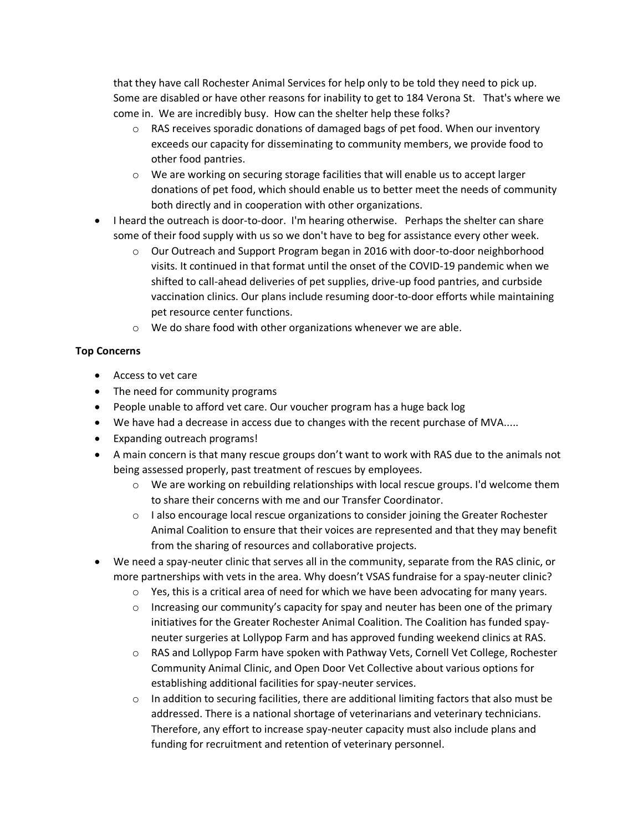that they have call Rochester Animal Services for help only to be told they need to pick up. Some are disabled or have other reasons for inability to get to 184 Verona St. That's where we come in. We are incredibly busy. How can the shelter help these folks?

- $\circ$  RAS receives sporadic donations of damaged bags of pet food. When our inventory exceeds our capacity for disseminating to community members, we provide food to other food pantries.
- $\circ$  We are working on securing storage facilities that will enable us to accept larger donations of pet food, which should enable us to better meet the needs of community both directly and in cooperation with other organizations.
- I heard the outreach is door-to-door. I'm hearing otherwise. Perhaps the shelter can share some of their food supply with us so we don't have to beg for assistance every other week.
	- $\circ$  Our Outreach and Support Program began in 2016 with door-to-door neighborhood visits. It continued in that format until the onset of the COVID-19 pandemic when we shifted to call-ahead deliveries of pet supplies, drive-up food pantries, and curbside vaccination clinics. Our plans include resuming door-to-door efforts while maintaining pet resource center functions.
	- o We do share food with other organizations whenever we are able.

# **Top Concerns**

- Access to vet care
- The need for community programs
- People unable to afford vet care. Our voucher program has a huge back log
- We have had a decrease in access due to changes with the recent purchase of MVA.....
- Expanding outreach programs!
- A main concern is that many rescue groups don't want to work with RAS due to the animals not being assessed properly, past treatment of rescues by employees.
	- o We are working on rebuilding relationships with local rescue groups. I'd welcome them to share their concerns with me and our Transfer Coordinator.
	- $\circ$  I also encourage local rescue organizations to consider joining the Greater Rochester Animal Coalition to ensure that their voices are represented and that they may benefit from the sharing of resources and collaborative projects.
- We need a spay-neuter clinic that serves all in the community, separate from the RAS clinic, or more partnerships with vets in the area. Why doesn't VSAS fundraise for a spay-neuter clinic?
	- $\circ$  Yes, this is a critical area of need for which we have been advocating for many years.
	- $\circ$  Increasing our community's capacity for spay and neuter has been one of the primary initiatives for the Greater Rochester Animal Coalition. The Coalition has funded spayneuter surgeries at Lollypop Farm and has approved funding weekend clinics at RAS.
	- o RAS and Lollypop Farm have spoken with Pathway Vets, Cornell Vet College, Rochester Community Animal Clinic, and Open Door Vet Collective about various options for establishing additional facilities for spay-neuter services.
	- $\circ$  In addition to securing facilities, there are additional limiting factors that also must be addressed. There is a national shortage of veterinarians and veterinary technicians. Therefore, any effort to increase spay-neuter capacity must also include plans and funding for recruitment and retention of veterinary personnel.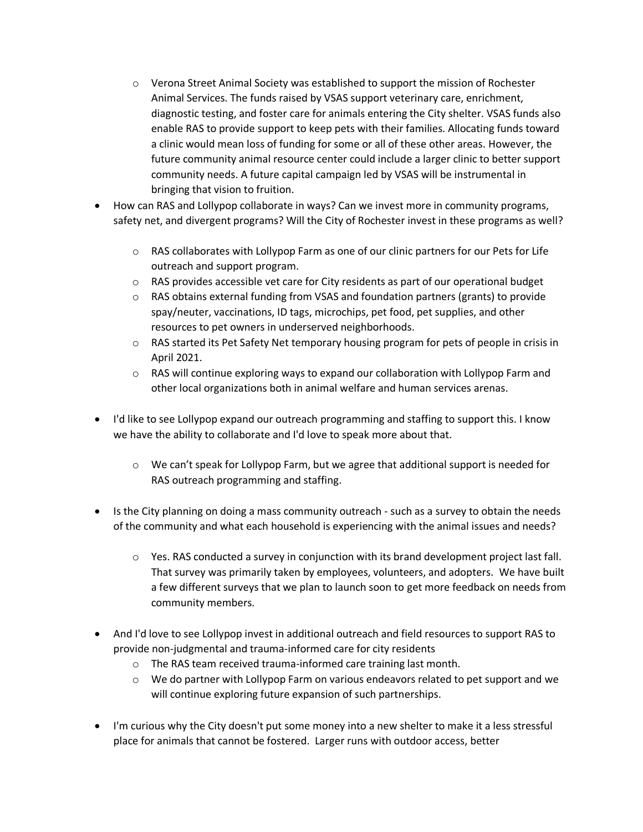- $\circ$  Verona Street Animal Society was established to support the mission of Rochester Animal Services. The funds raised by VSAS support veterinary care, enrichment, diagnostic testing, and foster care for animals entering the City shelter. VSAS funds also enable RAS to provide support to keep pets with their families. Allocating funds toward a clinic would mean loss of funding for some or all of these other areas. However, the future community animal resource center could include a larger clinic to better support community needs. A future capital campaign led by VSAS will be instrumental in bringing that vision to fruition.
- How can RAS and Lollypop collaborate in ways? Can we invest more in community programs, safety net, and divergent programs? Will the City of Rochester invest in these programs as well?
	- o RAS collaborates with Lollypop Farm as one of our clinic partners for our Pets for Life outreach and support program.
	- $\circ$  RAS provides accessible vet care for City residents as part of our operational budget
	- $\circ$  RAS obtains external funding from VSAS and foundation partners (grants) to provide spay/neuter, vaccinations, ID tags, microchips, pet food, pet supplies, and other resources to pet owners in underserved neighborhoods.
	- $\circ$  RAS started its Pet Safety Net temporary housing program for pets of people in crisis in April 2021.
	- $\circ$  RAS will continue exploring ways to expand our collaboration with Lollypop Farm and other local organizations both in animal welfare and human services arenas.
- I'd like to see Lollypop expand our outreach programming and staffing to support this. I know we have the ability to collaborate and I'd love to speak more about that.
	- $\circ$  We can't speak for Lollypop Farm, but we agree that additional support is needed for RAS outreach programming and staffing.
- Is the City planning on doing a mass community outreach such as a survey to obtain the needs of the community and what each household is experiencing with the animal issues and needs?
	- $\circ$  Yes. RAS conducted a survey in conjunction with its brand development project last fall. That survey was primarily taken by employees, volunteers, and adopters. We have built a few different surveys that we plan to launch soon to get more feedback on needs from community members.
- And I'd love to see Lollypop invest in additional outreach and field resources to support RAS to provide non-judgmental and trauma-informed care for city residents
	- o The RAS team received trauma-informed care training last month.
	- $\circ$  We do partner with Lollypop Farm on various endeavors related to pet support and we will continue exploring future expansion of such partnerships.
- I'm curious why the City doesn't put some money into a new shelter to make it a less stressful place for animals that cannot be fostered. Larger runs with outdoor access, better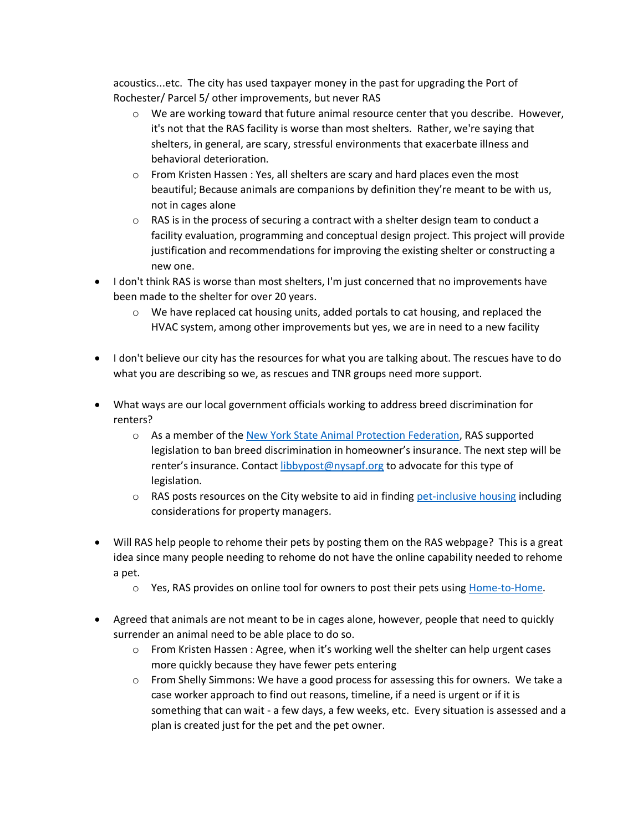acoustics...etc. The city has used taxpayer money in the past for upgrading the Port of Rochester/ Parcel 5/ other improvements, but never RAS

- $\circ$  We are working toward that future animal resource center that you describe. However, it's not that the RAS facility is worse than most shelters. Rather, we're saying that shelters, in general, are scary, stressful environments that exacerbate illness and behavioral deterioration.
- $\circ$  From Kristen Hassen : Yes, all shelters are scary and hard places even the most beautiful; Because animals are companions by definition they're meant to be with us, not in cages alone
- $\circ$  RAS is in the process of securing a contract with a shelter design team to conduct a facility evaluation, programming and conceptual design project. This project will provide justification and recommendations for improving the existing shelter or constructing a new one.
- I don't think RAS is worse than most shelters, I'm just concerned that no improvements have been made to the shelter for over 20 years.
	- $\circ$  We have replaced cat housing units, added portals to cat housing, and replaced the HVAC system, among other improvements but yes, we are in need to a new facility
- I don't believe our city has the resources for what you are talking about. The rescues have to do what you are describing so we, as rescues and TNR groups need more support.
- What ways are our local government officials working to address breed discrimination for renters?
	- o As a member of th[e New York State Animal Protection Federation,](http://www.nysapf.org/) RAS supported legislation to ban breed discrimination in homeowner's insurance. The next step will be renter's insurance. Contact [libbypost@nysapf.org](mailto:libbypost@nysapf.org) to advocate for this type of legislation.
	- $\circ$  RAS posts resources on the City website to aid in finding [pet-inclusive housing](https://www.cityofrochester.gov/PetFriendlyHousing/) including considerations for property managers.
- Will RAS help people to rehome their pets by posting them on the RAS webpage? This is a great idea since many people needing to rehome do not have the online capability needed to rehome a pet.
	- o Yes, RAS provides on online tool for owners to post their pets usin[g Home-to-Home.](https://home-home.org/shelter/ras/)
- Agreed that animals are not meant to be in cages alone, however, people that need to quickly surrender an animal need to be able place to do so.
	- $\circ$  From Kristen Hassen : Agree, when it's working well the shelter can help urgent cases more quickly because they have fewer pets entering
	- o From Shelly Simmons: We have a good process for assessing this for owners. We take a case worker approach to find out reasons, timeline, if a need is urgent or if it is something that can wait - a few days, a few weeks, etc. Every situation is assessed and a plan is created just for the pet and the pet owner.